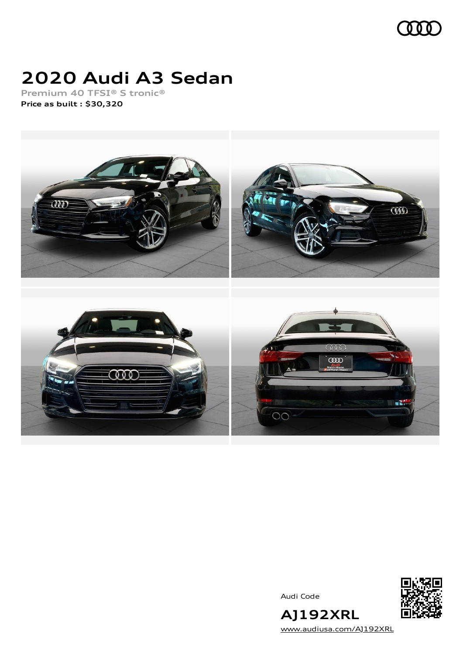

# **2020 Audi A3 Sedan**

**Premium 40 TFSI® S tronic® Price as built [:](#page-10-0) \$30,320**



Audi Code



**AJ192XRL** [www.audiusa.com/AJ192XRL](https://www.audiusa.com/AJ192XRL)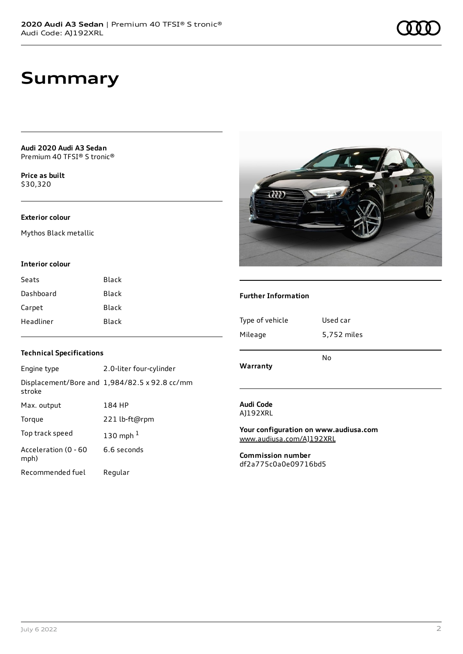**Audi 2020 Audi A3 Sedan** Premium 40 TFSI® S tronic®

**Price as buil[t](#page-10-0)** \$30,320

#### **Exterior colour**

Mythos Black metallic

#### **Interior colour**

| Seats     | Black |
|-----------|-------|
| Dashboard | Black |
| Carpet    | Black |
| Headliner | Black |

#### **Technical Specifications**

| Engine type                  | 2.0-liter four-cylinder                              |
|------------------------------|------------------------------------------------------|
| stroke                       | Displacement/Bore and $1,984/82.5 \times 92.8$ cc/mm |
| Max. output                  | 184 HP                                               |
| Torque                       | 221 lb-ft@rpm                                        |
| Top track speed              | 130 mph $1$                                          |
| Acceleration (0 - 60<br>mph) | 6.6 seconds                                          |
| Recommended fuel             | Regular                                              |



 $\widehat{Q}\widehat{q}\widehat{q}$ 

# **Warranty** No **Audi Code**

AJ192XRL

**Your configuration on www.audiusa.com** [www.audiusa.com/AJ192XRL](https://www.audiusa.com/AJ192XRL)

**Commission number** df2a775c0a0e09716bd5

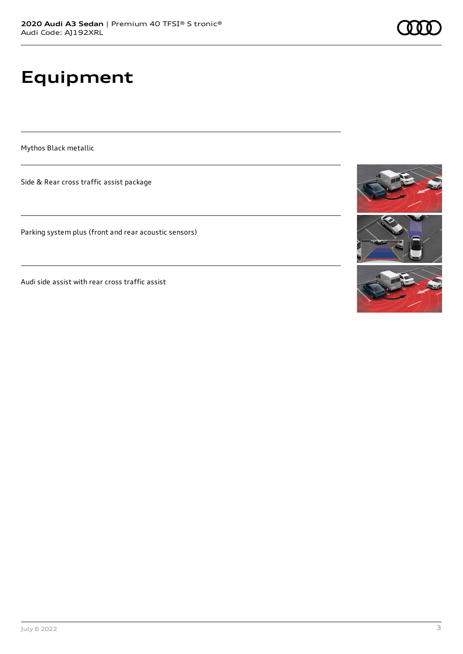# **Equipment**

Mythos Black metallic

Side & Rear cross traffic assist package

Parking system plus (front and rear acoustic sensors)

Audi side assist with rear cross traffic assist

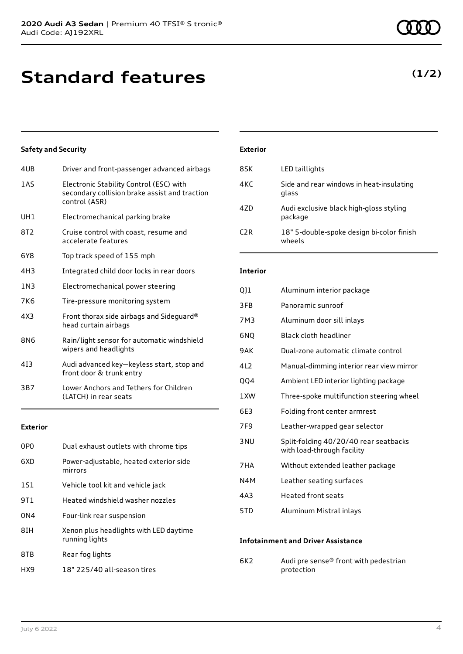# **Standard features**

### **Safety and Security**

| 4UB             | Driver and front-passenger advanced airbags                                                               |
|-----------------|-----------------------------------------------------------------------------------------------------------|
| 1AS             | Electronic Stability Control (ESC) with<br>secondary collision brake assist and traction<br>control (ASR) |
| UH <sub>1</sub> | Electromechanical parking brake                                                                           |
| 8T <sub>2</sub> | Cruise control with coast, resume and<br>accelerate features                                              |
| 6Y8             | Top track speed of 155 mph                                                                                |
| 4H3             | Integrated child door locks in rear doors                                                                 |
| 1N3             | Electromechanical power steering                                                                          |
| 7K6             | Tire-pressure monitoring system                                                                           |
| 4X3             | Front thorax side airbags and Sideguard®<br>head curtain airbags                                          |
| 8N6             | Rain/light sensor for automatic windshield<br>wipers and headlights                                       |
| 413             | Audi advanced key-keyless start, stop and<br>front door & trunk entry                                     |
| 3B7             | Lower Anchors and Tethers for Children<br>(LATCH) in rear seats                                           |
|                 |                                                                                                           |

#### **Exterior**

| 0P <sub>0</sub> | Dual exhaust outlets with chrome tips                    |
|-----------------|----------------------------------------------------------|
| 6XD             | Power-adjustable, heated exterior side<br>mirrors        |
| 1S1             | Vehicle tool kit and vehicle jack                        |
| 9T1             | Heated windshield washer nozzles                         |
| 0 <sub>N4</sub> | Four-link rear suspension                                |
| 8IH             | Xenon plus headlights with LED daytime<br>running lights |
| 8TB             | Rear fog lights                                          |
| HX9             | 18" 225/40 all-season tires                              |

#### **Exterior**

| 8SK              | LED taillights                                      |
|------------------|-----------------------------------------------------|
| 4KC              | Side and rear windows in heat-insulating<br>glass   |
| 47D              | Audi exclusive black high-gloss styling<br>package  |
| C <sub>2</sub> R | 18" 5-double-spoke design bi-color finish<br>wheels |

#### **Interior**

| QJ1             | Aluminum interior package                                           |
|-----------------|---------------------------------------------------------------------|
| 3FB             | Panoramic sunroof                                                   |
| 7M3             | Aluminum door sill inlays                                           |
| 6NQ             | Black cloth headliner                                               |
| 9AK             | Dual-zone automatic climate control                                 |
| 4L2             | Manual-dimming interior rear view mirror                            |
| QQ4             | Ambient LED interior lighting package                               |
| 1XW             | Three-spoke multifunction steering wheel                            |
| 6E3             | Folding front center armrest                                        |
| 7F <sub>9</sub> | Leather-wrapped gear selector                                       |
| 3 NU            | Split-folding 40/20/40 rear seatbacks<br>with load-through facility |
| 7HA             | Without extended leather package                                    |
| N4M             | Leather seating surfaces                                            |
| 4A3             | <b>Heated front seats</b>                                           |
| 5TD             | Aluminum Mistral inlays                                             |
|                 |                                                                     |

#### **Infotainment and Driver Assistance**

6K2 Audi pre sense® front with pedestrian protection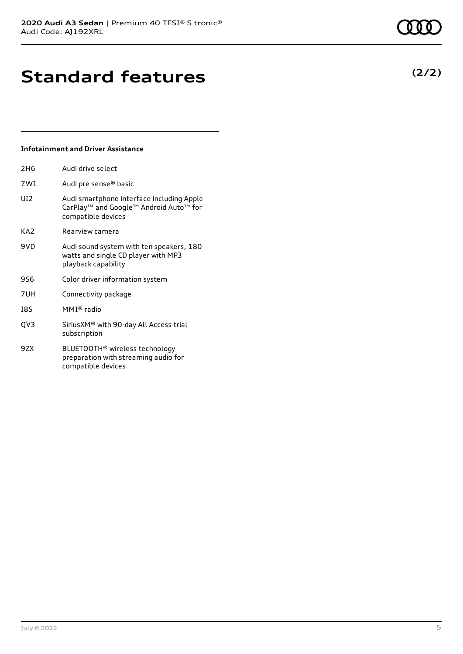# **Standard features**

#### **Infotainment and Driver Assistance**

| Audi drive select                                                                                         |
|-----------------------------------------------------------------------------------------------------------|
| Audi pre sense® basic                                                                                     |
| Audi smartphone interface including Apple<br>CarPlay™ and Google™ Android Auto™ for<br>compatible devices |
| Rearview camera                                                                                           |
| Audi sound system with ten speakers, 180<br>watts and single CD player with MP3<br>playback capability    |
| Color driver information system                                                                           |
| Connectivity package                                                                                      |
| MMI® radio                                                                                                |
| SiriusXM® with 90-day All Access trial<br>subscription                                                    |
| BLUETOOTH <sup>®</sup> wireless technology<br>preparation with streaming audio for<br>compatible devices  |
|                                                                                                           |

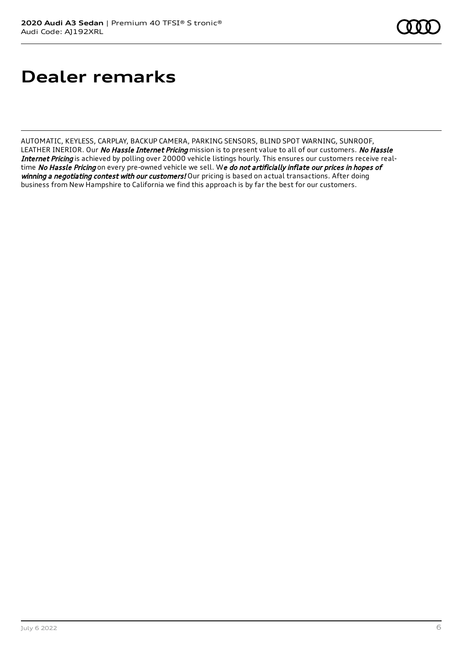# **Dealer remarks**

AUTOMATIC, KEYLESS, CARPLAY, BACKUP CAMERA, PARKING SENSORS, BLIND SPOT WARNING, SUNROOF, LEATHER INERIOR. Our No Hassle Internet Pricing mission is to present value to all of our customers. No Hassle Internet Pricing is achieved by polling over 20000 vehicle listings hourly. This ensures our customers receive realtime No Hassle Pricing on every pre-owned vehicle we sell. We do not artificially inflate our prices in hopes of winning a negotiating contest with our customers! Our pricing is based on actual transactions. After doing business from New Hampshire to California we find this approach is by far the best for our customers.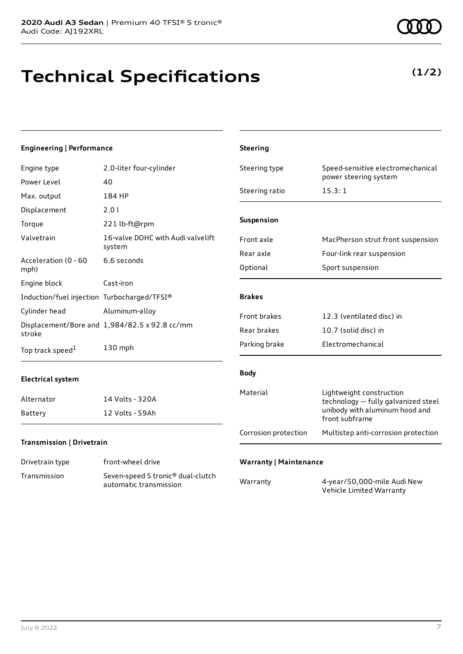# **Technical Specifications**

**(1/2)**

#### **Engineering | Performance** Engine type 2.0-liter four-cylinder Power Level 40 Max. output 184 HP Displacement 2.0 l Torque 221 lb-ft@rpm Valvetrain 16-valve DOHC with Audi valvelift system Acceleration (0 - 60 mph) 6.6 seconds Engine block Cast-iron Induction/fuel injection Turbocharged/TFSI® Cylinder head Aluminum-alloy Displacement/Bore and 1,984/82.5 x 92.8 cc/mm stroke Top track speed<sup>1</sup> [1](#page-10-0) 130 mph **Electrical system** Alternator 14 Volts - 320A Battery 12 Volts - 59Ah **Transmission | Drivetrain** Drivetrain type front-wheel drive Transmission Seven-speed S tronic® dual-clutch automatic transmission **Steering** Steering type Speed-sensitive electromechanical power steering system Steering ratio 15.3:1 **Suspension** Front axle MacPherson strut front suspension Rear axle Four-link rear suspension Optional Sport suspension **Brakes** Front brakes 12.3 (ventilated disc) in Rear brakes 10.7 (solid disc) in Parking brake Electromechanical **Body** Material Lightweight construction technology — fully galvanized steel unibody with aluminum hood and front subframe Corrosion protection Multistep anti-corrosion protection **Warranty | Maintenance** Warranty 4-year/50,000-mile Audi New Vehicle Limited Warranty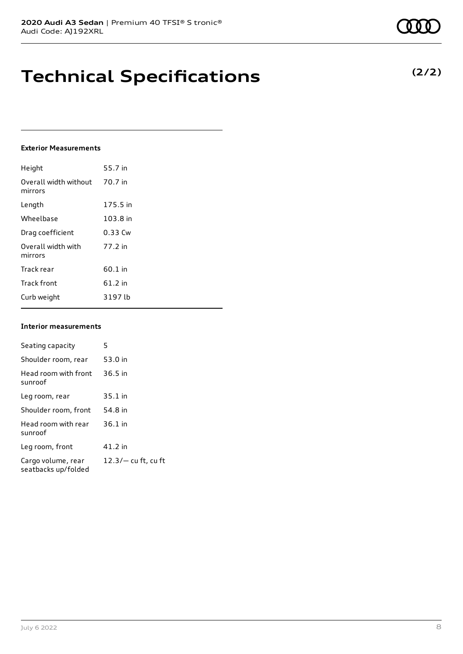## **Technical Specifications**

#### **Exterior Measurements**

| Height                           | 55.7 in   |
|----------------------------------|-----------|
| Overall width without<br>mirrors | 70.7 in   |
| Length                           | 175.5 in  |
| Wheelbase                        | 103.8 in  |
| Drag coefficient                 | 0.33 Cw   |
| Overall width with<br>mirrors    | 77.2 in   |
| Track rear                       | $60.1$ in |
| <b>Track front</b>               | 61.2 in   |
| Curb weight                      | 3197 lb   |

#### **Interior measurements**

| Seating capacity                          | 5                     |
|-------------------------------------------|-----------------------|
| Shoulder room, rear                       | 53.0 in               |
| Head room with front<br>sunroof           | $36.5$ in             |
| Leg room, rear                            | $35.1$ in             |
| Shoulder room, front                      | 54.8 in               |
| Head room with rear<br>sunroof            | $36.1$ in             |
| Leg room, front                           | 41.2 in               |
| Cargo volume, rear<br>seatbacks up/folded | $12.3/-$ cu ft, cu ft |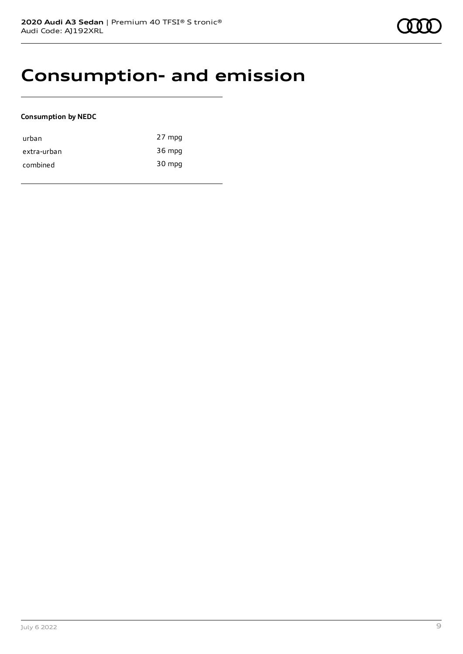### **Consumption- and emission**

#### **Consumption by NEDC**

| urban       | 27 mpg |
|-------------|--------|
| extra-urban | 36 mpg |
| combined    | 30 mpg |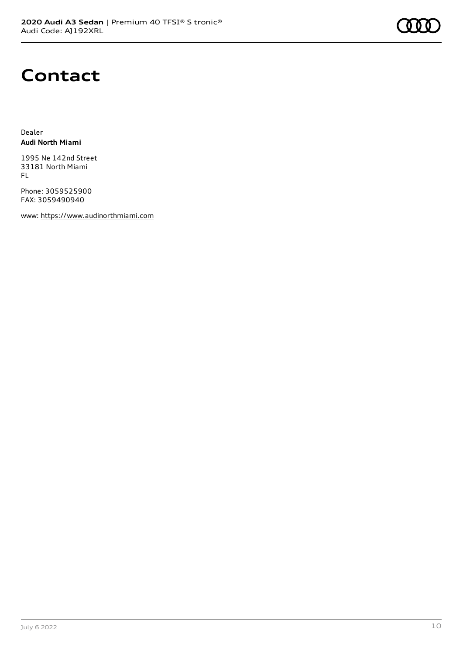

### **Contact**

Dealer **Audi North Miami**

1995 Ne 142nd Street 33181 North Miami FL

Phone: 3059525900 FAX: 3059490940

www: [https://www.audinorthmiami.com](https://www.audinorthmiami.com/)